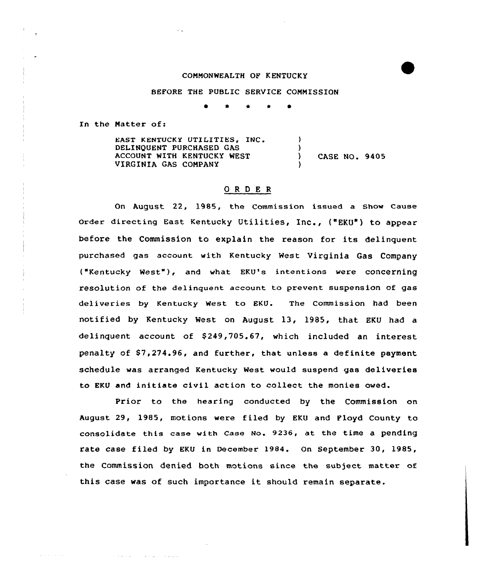## COMMONWEALTH OF KENTUCKY

## BEFORE THE PUBLIC SERVICE COMMISSION

<sup>~</sup> \* \* 1 0

In the Matter of:

and a straight

المتحدث

EAST KENTUCKY UTILITIES, INC. DELINQUENT PURCHASED GAS ACCOUNT WITH KENTUCKY WEST VIRGINIA GAS COMPANY ) )<br>) ) CASE NO. 9405

## ORDER

On August 22, 1985, the Commission issued a show Cause order directing East Kentucky Utilities, Inc., {"EKU") to appear before the Commission to explain the reason for its delinquent purchased gas account with Kentucky west virginia Gas Company ("Kentucky West"), and what EKU's intentions were concerning resolution of the delinquent account to prevent suspension of gas deliveries by Kentucky West to EKU. The Commission had been notified by Kentucky West on August 13, l985, that EKU had a delinquent account of \$249,705.67, which included an interest penalty of \$7,274.96, and further, that unless a definite payment schedule was arranged Kentucky West would suspend gas deliveries to EKU and initiate civil action to collect the monies owed.

Prior to the hearing conducted by the Commission on August 29, 1985, motions were filed by EKU and Ployd County to consolidate this case with Case No. 9236, at the time a pending rate case filed by EKU in December 1984. On September 30, 1985, the Commission denied both motions since the subject matter of this case was of such importance it should remain separate.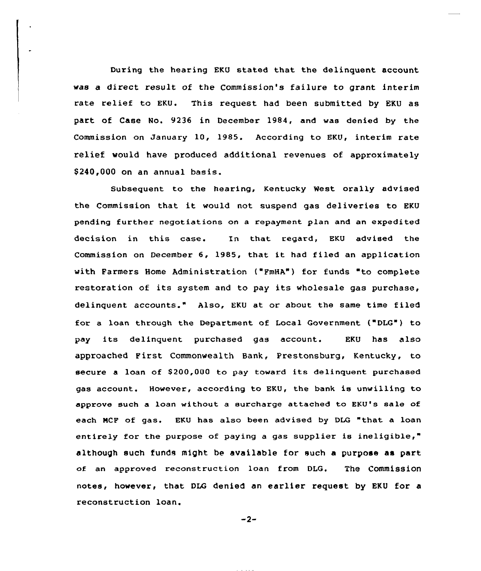During the hearing EKU stated that the delinquent account was a direct result of the Commission's failure to grant interim rate relief to EKU. This request had been submitted by EKU as part of Case No. 9236 in December 1984, and was denied by the Commission on January 10, 1985. According to EKU, interim rate relief would have produced additional revenues of approximately \$ 240,000 on an annual basis.

Subsequent to the hearing, Kentucky West ora1ly advised the Commission that it would not suspend gas deliveries to EKU pending further negotiations on a repayment plan and an expedited decision in this case. In that regard, EKU advised the Commission on December 6, 1985, that it had filed an application with Farmers Home Administration ("FmHA") for funds "to complete restoration of its system and to pay its wholesale gas purchase, delinquent accounts." Also, EKU at or about the same time filed for a loan through the Department of Local Government ("DLG") to pay its delinquent purchased gas account. EKU has also approached First Commonwealth Bank, Prestonsburg, Kentucky, to secure a loan of \$200,000 to pay toward its delinquent purchased gas account. However, according to EKU, the bank is unwilling to approve such a loan without a surcharge attached to EKU's sale of each MCF of gas. EKU has also been advised by DLG "that a loan entirely for the purpose of paying a gas supplier is ineligible," although such funds might be available for such a purpose as part of an approved reconstruction loan from DLG. The Commission notes, however, that DLG denied an earlier request by EKU for a reconstruction loan.

$$
-2-
$$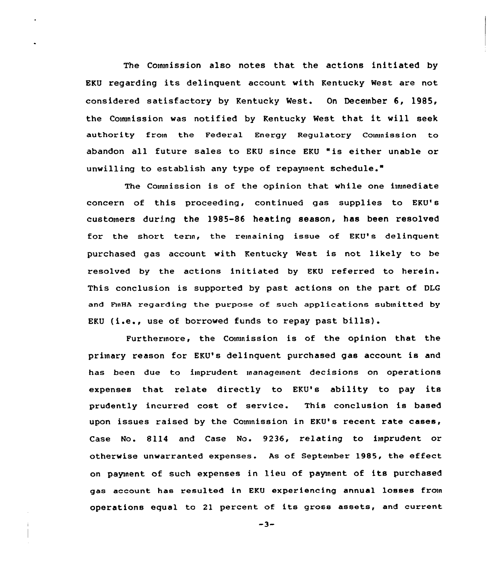The Commission also notes that the actions initiated by EKU regarding its delinquent account with Kentucky West are not considered satisfactory by Kentucky West. On December 6, 1985, the Commission was notified by Kentucky West that it will seek authority from the Federal Energy Regulatory Commission to abandon all future sales to EKU since EKU "is either unable or unwilling to establish any type of repayment schedule."

The Commission is of the opinion that while one immediate concern of this proceeding, continued gas supplies to EKU's customers during the 1985-86 heating season, has been resolved for the short term, the remaining issue of EKU's delinguent purchased gas account with Kentucky West is not likely to be resolved by the actions initiated by EKU referred to herein. This conclusion is supported by past actions on the part of DLG and FInHA regarding the purpose of such applications submitted by EKU (i.e., use of borrowed funds to repay past bills).

Furthermore, the Couunission is of the opinion that the primary reason for EKU's delinquent purchased gas account is and has been due to imprudent management decisions on operations expenses that relate directly to EKU's ability to pay its prudently incurred cost of service. This conclusion is based upon issues raised by the Commission in EKU's recent rate cases, Case No. 8114 and Case No. 9236, relating to imprudent or otherwise unwarranted expenses. As of September 1985, the effect on payment of such expenses in lieu of payment of its purchased gas account has resulted in EKU experiencing annual losses from operations equal to <sup>21</sup> percent of its gross assets, and current

 $-3-$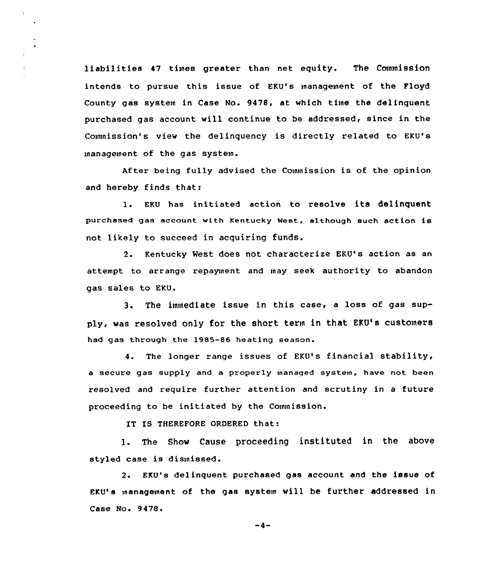liabilities 47 times greater than net equity. The Commission intends to pursue this issue of EKU's management of the Floyd County gas systein in Case No. 9478, at which time the delinquent purchased gas account will continue to be addressed, since in the Commission's view the delinquency is directly related to EKU's management of the gas system.

 $\mathbf{L}$ 

After being fully advised the Commission is of the opinion and hereby finds that:

<sup>1</sup> EKU has initiated action to resolve its delinquent purchased gas account with Kentucky West, although such action is not likely to succeed in acquiring funds.

2. Kentucky West does not characterize EKU's action as an attempt to arrange repayment and may seek authority to abandon gas sales to EKU.

3. The immediate issue in this case, <sup>a</sup> loss of gas supply, was resolved only for the short term in that EKU's customers had gas through the 1985-86 heating season.

4. The longer range issues of EKU's financial stability, a secure gas supply and a properly managed system, have not been resolved and require further attention and scrutiny in a future proceeding to be initiated by the Commission.

IT IS THEREFORE ORDERED that:

1. The Show Cause proceeding instituted in the above styled case is dismissed.

2. EKU's delinquent purchased gas account and the issue of EKU's management of the gas system will be further addressed in Case No. 9478.

 $-4-$